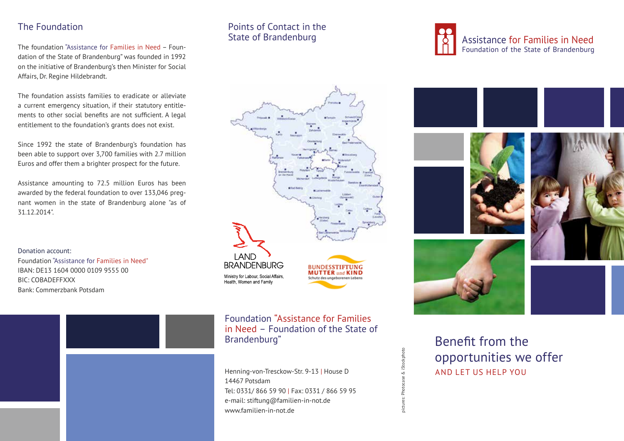# The Foundation

The foundation "Assistance for Families in Need – Foundation of the State of Brandenburg" was founded in 1992 on the initiative of Brandenburg's then Minister for Social Affairs, Dr. Regine Hildebrandt.

The foundation assists families to eradicate or alleviate a current emergency situation, if their statutory entitlements to other social benefits are not sufficient. A legal entitlement to the foundation's grants does not exist.

Since 1992 the state of Brandenburg's foundation has been able to support over 3,700 families with 2.7 million Euros and offer them a brighter prospect for the future.

Assistance amounting to 72.5 million Euros has been awarded by the federal foundation to over 133,046 pregnant women in the state of Brandenburg alone "as of 31.12.2014".

Donation account: Foundation "Assistance for Families in Need" IBAN: DE13 1604 0000 0109 9555 00 BIC: COBADEFFXXX Bank: Commerzbank Potsdam

# Points of Contact in the State of Brandenburg



Foundation "Assistance for Families in Need – Foundation of the State of

Henning-von-Tresckow-Str. 9-13 | House D 14467 Potsdam Tel: 0331/ 866 59 90 | Fax: 0331 / 866 59 95 e-mail: stiftung@familien-in-not.de www.familien-in-not.de







Brandenburg" Benefit from the Benefit from the Sensitive Service Service Service Service Service Service Service Service Service Service Service Service Service Service Service Service Service Service Service Service Servi opportunities we offer AND LET US HELP YOU